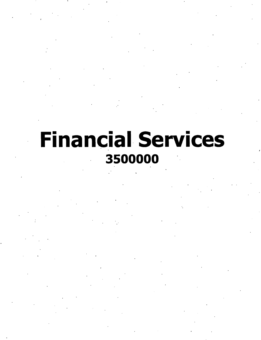**Financial Services** 3500000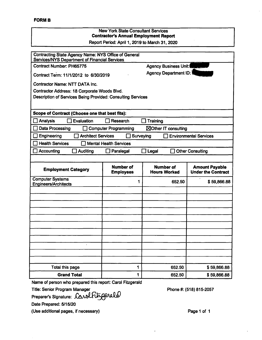# New York State Consultant Services **Contractor's Annual Employment Report** Report Period: April 1,2019 to March 31, 2020 Contracting State Agency Name: NYS Office of Generai Services/NYS Department of Financial Services Contract Number: PH65775 Agency Business Unit: Agency Department ID: Contract Term: 11/1/2012 to 6/30/2019 Contractor Name: NTT DATA Inc. Contractor Address: 18 Corporate Woods Blvd. Description of Services Being Provided: Consulting Services **Scope of Contract (Choose one that best fits):** Analysis Evaluation Research Training  $\Box$  Data Processing  $\Box$  Computer Programming  $\Box$  Other IT consulting Engineering Architect Services Surveying Environmental Services  $\Box$  Health Services  $\Box$  Mental Health Services Accounting Auditing Paralegai Legal Other Consulting **Number of Employees Number of Hours Worked Amount Payable Employment Category** Computer Systems Engineers/Architects **1** 1 652.50 \$ 59,866.88 Total this page 1 652.50  $\vert$  652.50  $\vert$  \$ 59,866.88 **Grand Total 1 1 652.50 \$59,866.88**

Name of person who prepared this report: Carol Fitzgerald

Title: Senior Program Manager

Preparer's Signature:

Phone #: (518) 815-2057

Date Prepared: 5/15/20

(Use additionai pages, if necessary)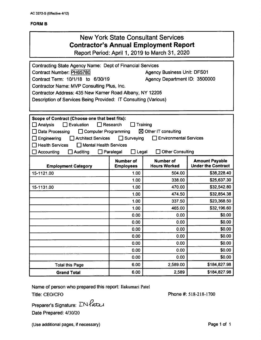#### FORM B

### New York State Consultant Services **Contractor's Annual Employment Report**

Report Period: April 1, 2019 to March 31, 2020

| Contracting State Agency Name: Dept of Financial Services                              |                                      |                                         |                                                    |  |  |  |
|----------------------------------------------------------------------------------------|--------------------------------------|-----------------------------------------|----------------------------------------------------|--|--|--|
| <b>Contract Number: PH65780</b>                                                        |                                      | <b>Agency Business Unit: DFS01</b>      |                                                    |  |  |  |
| Contract Term: 10/1/18 to 6/30/19                                                      |                                      | Agency Department ID: 3500000           |                                                    |  |  |  |
| Contractor Name: MVP Consulting Plus, Inc.                                             |                                      |                                         |                                                    |  |  |  |
| Contractor Address: 435 New Karner Road Albany, NY 12205                               |                                      |                                         |                                                    |  |  |  |
| Description of Services Being Provided: IT Consulting (Various)                        |                                      |                                         |                                                    |  |  |  |
|                                                                                        |                                      |                                         |                                                    |  |  |  |
|                                                                                        |                                      |                                         |                                                    |  |  |  |
| Scope of Contract (Choose one that best fits):<br>Evaluation                           | Research                             | Training                                |                                                    |  |  |  |
| Analysis<br>Data Processing<br>Computer Programming                                    |                                      | $\boxtimes$ Other IT consulting         |                                                    |  |  |  |
|                                                                                        |                                      |                                         |                                                    |  |  |  |
| $\Box$ Surveying<br>Environmental Services<br><b>Architect Services</b><br>Engineering |                                      |                                         |                                                    |  |  |  |
| <b>Health Services</b><br>$\Box$ Mental Health Services<br>$\Box$ Paralegal            |                                      |                                         |                                                    |  |  |  |
| $\Box$ Accounting<br>$\Box$ Auditing                                                   | $\Box$ Legal                         | <b>Other Consulting</b>                 |                                                    |  |  |  |
| <b>Employment Category</b>                                                             | <b>Number of</b><br><b>Employees</b> | <b>Number of</b><br><b>Hours Worked</b> | <b>Amount Payable</b><br><b>Under the Contract</b> |  |  |  |
| 15-1121.00                                                                             | 1.00                                 | 504.00                                  | \$38,228.40                                        |  |  |  |
|                                                                                        | 1.00                                 | 338.00                                  | \$25,637.30                                        |  |  |  |
| 15-1131.00                                                                             | 1.00                                 | 470.00                                  | \$32,542.80                                        |  |  |  |
|                                                                                        | 1.00                                 | 474.50                                  | \$32,854.38                                        |  |  |  |
|                                                                                        | 1.00                                 | 337.50                                  | \$23,368.50                                        |  |  |  |
|                                                                                        | 1.00                                 | 465.00                                  | \$32,196.60                                        |  |  |  |
|                                                                                        | 0.00                                 | 0.00                                    | \$0.00                                             |  |  |  |
|                                                                                        | 0.00                                 | 0.00                                    | \$0.00                                             |  |  |  |
|                                                                                        | 0.00                                 | 0.00                                    | \$0.00                                             |  |  |  |
|                                                                                        | 0.00                                 | 0.00                                    | \$0.00                                             |  |  |  |
|                                                                                        | 0.00                                 | 0.00                                    | \$0.00                                             |  |  |  |
|                                                                                        | 0.00                                 | 0.00                                    | \$0.00                                             |  |  |  |
|                                                                                        | 0.00                                 | 0.00                                    | \$0.00                                             |  |  |  |
| <b>Total this Page</b>                                                                 | 6.00                                 | 2,589.00                                | \$184,827.98                                       |  |  |  |
| <b>Grand Total</b>                                                                     | 6.00                                 | 2,589                                   | \$184,827.98                                       |  |  |  |

Name of person who prepared this report: Ilakumari Patel

Title: CEO/CFO **Phone #: 518-218-1700** 

Preparer's Signature:  $\sum N$ *ates* Date Prepared: *4/30120*

(Use additional pages, if necessary) example 2 and 2 and 2 and 2 and 2 and 2 and 2 and 2 and 2 and 2 and 2 and 2 and 2 and 2 and 2 and 2 and 2 and 2 and 2 and 2 and 2 and 2 and 2 and 2 and 2 and 2 and 2 and 2 and 2 and 2 a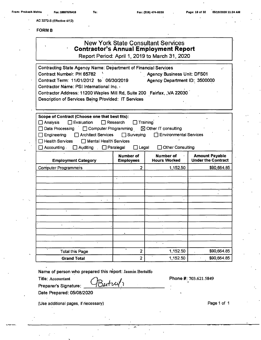**AC 3272-S (Effective 4/1.2)**

**FORMB** 

| -UKIVI B                                                                                                                                                                                                                                                                                                                      |                                                             |                                                                                               |                                                    |  |  |  |
|-------------------------------------------------------------------------------------------------------------------------------------------------------------------------------------------------------------------------------------------------------------------------------------------------------------------------------|-------------------------------------------------------------|-----------------------------------------------------------------------------------------------|----------------------------------------------------|--|--|--|
| <b>New York State Consultant Services</b><br><b>Contractor's Annual Employment Report</b><br>Report Period: April 1, 2019 to March 31, 2020                                                                                                                                                                                   |                                                             |                                                                                               |                                                    |  |  |  |
| <b>Contracting State Agency Name: Department of Financial Services</b><br>Contract Number: PH 65782<br>Contract Term: 11/01/2012 to 06/30/2019<br>Contractor Name: PSI International Inc. ><br>Contractor Address: 11200 Waples Mill Rd, Suite 200 Fairfax, , VA 22030<br>Description of Services Being Provided: IT Services |                                                             | <b>Agency Business Unit: DFS01</b><br>Agency Department ID: 3500000                           |                                                    |  |  |  |
| Scope of Contract (Choose one that best fits):<br>$\Box$ Evaluation<br>$\Box$ Analysis<br>□ Computer Programming<br>Data Processing<br><b>Architect Services</b><br>Engineering<br><b>Mental Health Services</b><br><b>Health Services</b><br>Accounting.<br>Auditing                                                         | Research<br>$\Box$ Surveying<br>$\Box$ Paralegal<br>∃ Legal | Training<br>⊠ Other IT consulting<br><b>Environmental Services</b><br><b>Other Consulting</b> |                                                    |  |  |  |
| <b>Employment Category</b>                                                                                                                                                                                                                                                                                                    | <b>Number of</b><br><b>Employees</b>                        | <b>Number of</b><br><b>Hours Worked</b>                                                       | <b>Amount Payable</b><br><b>Under the Contract</b> |  |  |  |
| <b>Computer Programmers</b>                                                                                                                                                                                                                                                                                                   | 2                                                           | 1,152.50                                                                                      | \$90,664.85                                        |  |  |  |
|                                                                                                                                                                                                                                                                                                                               |                                                             |                                                                                               |                                                    |  |  |  |
|                                                                                                                                                                                                                                                                                                                               |                                                             |                                                                                               |                                                    |  |  |  |
|                                                                                                                                                                                                                                                                                                                               |                                                             |                                                                                               |                                                    |  |  |  |
| <b>Total this Page</b>                                                                                                                                                                                                                                                                                                        | $\mathbf{2}$                                                | 1,152.50                                                                                      | \$90,664.85                                        |  |  |  |
| <b>Grand Total</b>                                                                                                                                                                                                                                                                                                            | $\overline{\mathbf{c}}$                                     | 1,152.50                                                                                      | \$90,664.85                                        |  |  |  |

**Name of person who prepared this report:** Jasmin Beitulfo

Bestrul,

 $\overline{ }$ 

**Title:** Accountant

**Preparer's Signature:**

**Date Prepared: 05/08/2020**

(Use additional pages, if necessary) example 2 and 2 and 2 and 2 and 2 and 2 and 2 and 2 and 2 and 2 and 2 and 2 and 2 and 2 and 2 and 2 and 2 and 2 and 2 and 2 and 2 and 2 and 2 and 2 and 2 and 2 and 2 and 2 and 2 and 2 a

**Phone#:** 703.621.5849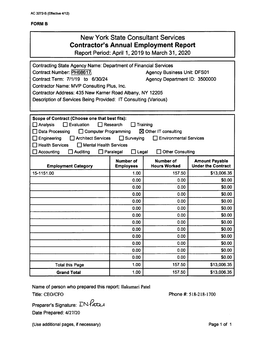#### **FORM B**

### New York State Consultant Services **Contractor's Annual Employment Report**

Report Period: April 1, 2019 to March 31, 2020

| <b>Contracting State Agency Name: Department of Financial Services</b>                        |                  |                                    |                           |  |  |  |
|-----------------------------------------------------------------------------------------------|------------------|------------------------------------|---------------------------|--|--|--|
| Contract Number: PH68617                                                                      |                  | <b>Agency Business Unit: DFS01</b> |                           |  |  |  |
| Contract Term: 7/1/19 to 6/30/24                                                              |                  | Agency Department ID: 3500000      |                           |  |  |  |
| Contractor Name: MVP Consulting Plus, Inc.                                                    |                  |                                    |                           |  |  |  |
| Contractor Address: 435 New Karner Road Albany, NY 12205                                      |                  |                                    |                           |  |  |  |
| Description of Services Being Provided: IT Consulting (Various)                               |                  |                                    |                           |  |  |  |
|                                                                                               |                  |                                    |                           |  |  |  |
| Scope of Contract (Choose one that best fits):                                                |                  |                                    |                           |  |  |  |
| $\Box$ Evaluation<br>□ Analysis                                                               | $\Box$ Research  | Training                           |                           |  |  |  |
| Computer Programming<br>$\boxtimes$ Other IT consulting<br>Data Processing                    |                  |                                    |                           |  |  |  |
| <b>Architect Services</b><br>$\Box$ Surveying<br><b>Environmental Services</b><br>Engineering |                  |                                    |                           |  |  |  |
| <b>Health Services</b><br>Mental Health Services                                              |                  |                                    |                           |  |  |  |
| $\Box$ Paralegal<br>$\Box$ Legal<br>Accounting<br>$\Box$ Auditing<br><b>Other Consulting</b>  |                  |                                    |                           |  |  |  |
|                                                                                               | <b>Number of</b> | Number of                          | <b>Amount Payable</b>     |  |  |  |
| <b>Employment Category</b>                                                                    | <b>Employees</b> | <b>Hours Worked</b>                | <b>Under the Contract</b> |  |  |  |
| 15-1151.00                                                                                    | 1.00             | 157.50                             | \$13,006.35               |  |  |  |
|                                                                                               | 0.00             | 0.00                               | \$0.00                    |  |  |  |
|                                                                                               | 0.00             | 0.00                               | \$0.00                    |  |  |  |
|                                                                                               | 0.00             | 0.00                               | \$0.00                    |  |  |  |
|                                                                                               | 0.00             | 0.00                               | \$0.00                    |  |  |  |
|                                                                                               | 0.00             | 0.00                               | \$0.00                    |  |  |  |
|                                                                                               | 0.00             | 0.00                               | \$0.00                    |  |  |  |
|                                                                                               | 0.00             | 0.00                               | \$0.00                    |  |  |  |
|                                                                                               | 0.00             | 0.00                               | \$0.00                    |  |  |  |
|                                                                                               | 0.00             | 0.00                               | \$0.00                    |  |  |  |
|                                                                                               | 0.00             | 0.00                               | \$0.00                    |  |  |  |
|                                                                                               | 0.00             | 0.00                               | \$0.00                    |  |  |  |
|                                                                                               | 0.00             | 0.00                               | \$0.00                    |  |  |  |
| <b>Total this Page</b>                                                                        | 1.00             | 157.50                             | \$13,006.35               |  |  |  |
| <b>Grand Total</b>                                                                            | 1.00             | 157.50                             | \$13,006.35               |  |  |  |

**Name of person who prepared this report:** Ilakumari Patel Title: CEO/CFO **Phone** #: 518-218-1700

**Preparer's Signature: Date Prepared:** 4/27/20

(Use additional pages, if necessary) example 2 and 2 and 2 and 2 and 2 and 2 and 2 and 2 and 2 and 2 and 2 and 2 and 2 and 2 and 2 and 2 and 2 and 2 and 2 and 2 and 2 and 2 and 2 and 2 and 2 and 2 and 2 and 2 and 2 and 2 a